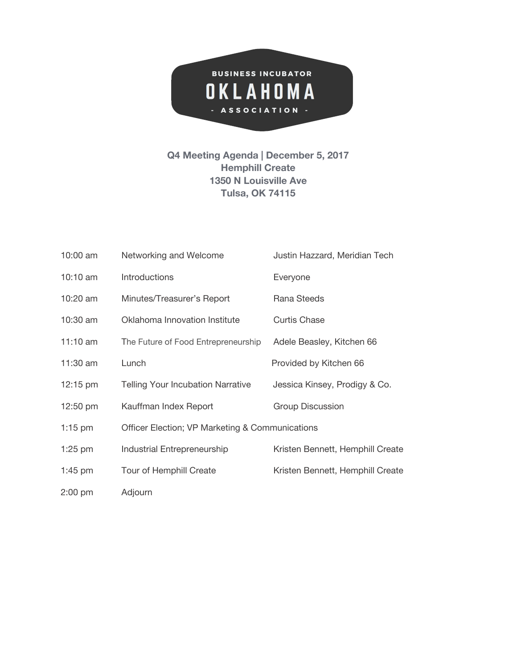

## **Q4 Meeting Agenda | December 5, 2017 Hemphill Create 1350 N Louisville Ave Tulsa, OK 74115**

| 10:00 am           | Networking and Welcome                          | Justin Hazzard, Meridian Tech    |
|--------------------|-------------------------------------------------|----------------------------------|
| $10:10$ am         | <b>Introductions</b>                            | Everyone                         |
| 10:20 am           | Minutes/Treasurer's Report                      | Rana Steeds                      |
| 10:30 am           | Oklahoma Innovation Institute                   | <b>Curtis Chase</b>              |
| $11:10$ am         | The Future of Food Entrepreneurship             | Adele Beasley, Kitchen 66        |
| 11:30 am           | Lunch                                           | Provided by Kitchen 66           |
| $12:15 \text{ pm}$ | <b>Telling Your Incubation Narrative</b>        | Jessica Kinsey, Prodigy & Co.    |
| 12:50 pm           | Kauffman Index Report                           | <b>Group Discussion</b>          |
| $1:15$ pm          | Officer Election; VP Marketing & Communications |                                  |
| $1:25$ pm          | Industrial Entrepreneurship                     | Kristen Bennett, Hemphill Create |
| $1:45$ pm          | Tour of Hemphill Create                         | Kristen Bennett, Hemphill Create |
| $2:00$ pm          | Adjourn                                         |                                  |